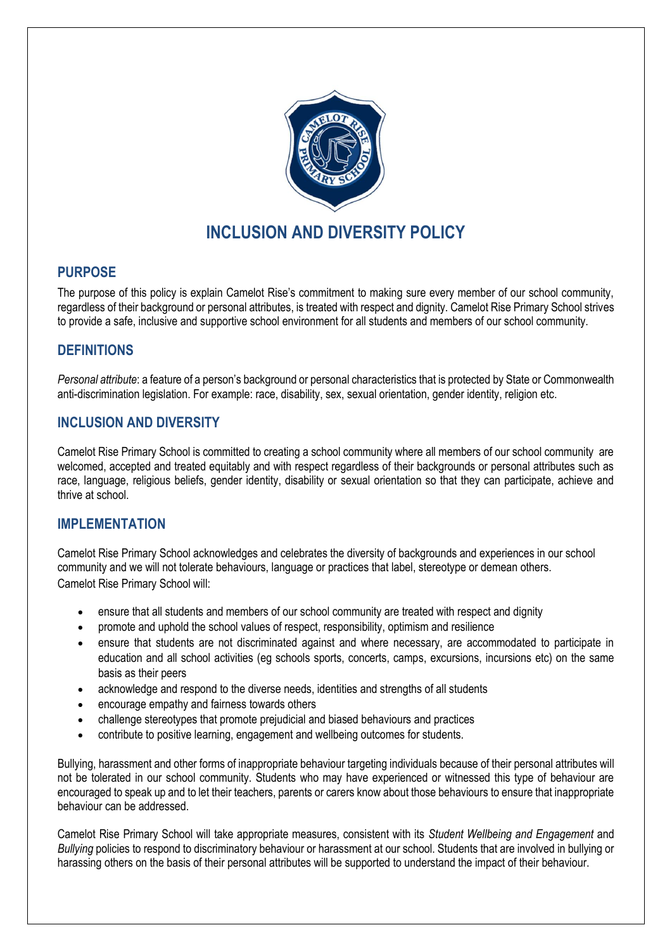

# **INCLUSION AND DIVERSITY POLICY**

## **PURPOSE**

The purpose of this policy is explain Camelot Rise's commitment to making sure every member of our school community, regardless of their background or personal attributes, is treated with respect and dignity. Camelot Rise Primary School strives to provide a safe, inclusive and supportive school environment for all students and members of our school community.

## **DEFINITIONS**

*Personal attribute*: a feature of a person's background or personal characteristics that is protected by State or Commonwealth anti-discrimination legislation. For example: race, disability, sex, sexual orientation, gender identity, religion etc.

## **INCLUSION AND DIVERSITY**

Camelot Rise Primary School is committed to creating a school community where all members of our school community are welcomed, accepted and treated equitably and with respect regardless of their backgrounds or personal attributes such as race, language, religious beliefs, gender identity, disability or sexual orientation so that they can participate, achieve and thrive at school.

#### **IMPLEMENTATION**

Camelot Rise Primary School acknowledges and celebrates the diversity of backgrounds and experiences in our school community and we will not tolerate behaviours, language or practices that label, stereotype or demean others. Camelot Rise Primary School will:

- ensure that all students and members of our school community are treated with respect and dignity
- promote and uphold the school values of respect, responsibility, optimism and resilience
- ensure that students are not discriminated against and where necessary, are accommodated to participate in education and all school activities (eg schools sports, concerts, camps, excursions, incursions etc) on the same basis as their peers
- acknowledge and respond to the diverse needs, identities and strengths of all students
- encourage empathy and fairness towards others
- challenge stereotypes that promote prejudicial and biased behaviours and practices
- contribute to positive learning, engagement and wellbeing outcomes for students.

Bullying, harassment and other forms of inappropriate behaviour targeting individuals because of their personal attributes will not be tolerated in our school community. Students who may have experienced or witnessed this type of behaviour are encouraged to speak up and to let their teachers, parents or carers know about those behaviours to ensure that inappropriate behaviour can be addressed.

Camelot Rise Primary School will take appropriate measures, consistent with its *Student Wellbeing and Engagement* and *Bullying* policies to respond to discriminatory behaviour or harassment at our school. Students that are involved in bullying or harassing others on the basis of their personal attributes will be supported to understand the impact of their behaviour.